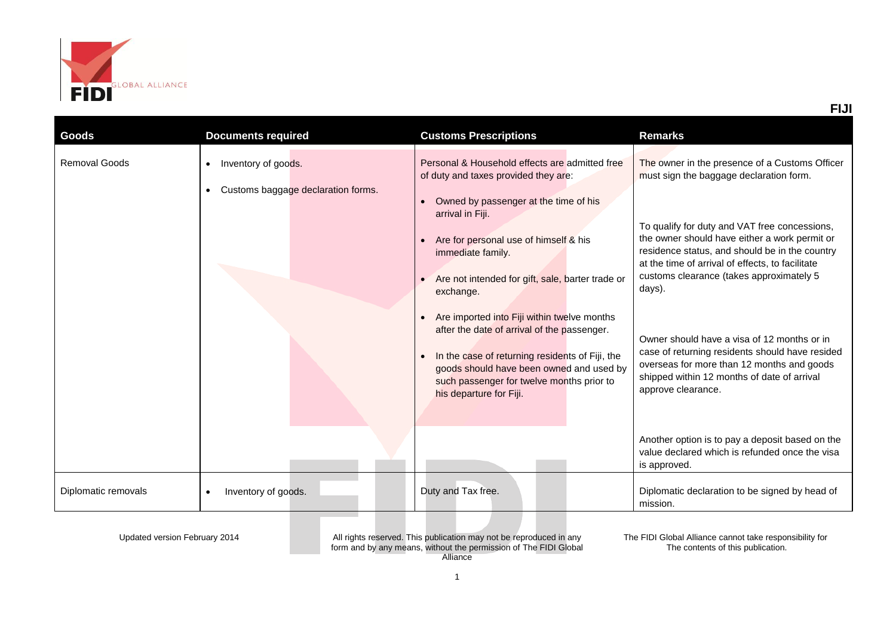

| Goods                | <b>Documents required</b>                                                           | <b>Customs Prescriptions</b>                                                                                                                                                                                                                                                                                                                                                                                                                                                                                                                                         | <b>Remarks</b>                                                                                                                                                                                                                                                                                                                                                                                                                                                                                                                                                               |
|----------------------|-------------------------------------------------------------------------------------|----------------------------------------------------------------------------------------------------------------------------------------------------------------------------------------------------------------------------------------------------------------------------------------------------------------------------------------------------------------------------------------------------------------------------------------------------------------------------------------------------------------------------------------------------------------------|------------------------------------------------------------------------------------------------------------------------------------------------------------------------------------------------------------------------------------------------------------------------------------------------------------------------------------------------------------------------------------------------------------------------------------------------------------------------------------------------------------------------------------------------------------------------------|
| <b>Removal Goods</b> | Inventory of goods.<br>$\bullet$<br>Customs baggage declaration forms.<br>$\bullet$ | Personal & Household effects are admitted free<br>of duty and taxes provided they are:<br>Owned by passenger at the time of his<br>arrival in Fiji.<br>Are for personal use of himself & his<br>immediate family.<br>Are not intended for gift, sale, barter trade or<br>exchange.<br>Are imported into Fiji within twelve months<br>after the date of arrival of the passenger.<br>In the case of returning residents of Fiji, the<br>$\bullet$<br>goods should have been owned and used by<br>such passenger for twelve months prior to<br>his departure for Fiji. | The owner in the presence of a Customs Officer<br>must sign the baggage declaration form.<br>To qualify for duty and VAT free concessions,<br>the owner should have either a work permit or<br>residence status, and should be in the country<br>at the time of arrival of effects, to facilitate<br>customs clearance (takes approximately 5<br>days).<br>Owner should have a visa of 12 months or in<br>case of returning residents should have resided<br>overseas for more than 12 months and goods<br>shipped within 12 months of date of arrival<br>approve clearance. |
|                      |                                                                                     |                                                                                                                                                                                                                                                                                                                                                                                                                                                                                                                                                                      | Another option is to pay a deposit based on the<br>value declared which is refunded once the visa<br>is approved.                                                                                                                                                                                                                                                                                                                                                                                                                                                            |
| Diplomatic removals  | Inventory of goods.<br>$\bullet$                                                    | Duty and Tax free.                                                                                                                                                                                                                                                                                                                                                                                                                                                                                                                                                   | Diplomatic declaration to be signed by head of<br>mission.                                                                                                                                                                                                                                                                                                                                                                                                                                                                                                                   |

Updated version February 2014 All rights reserved. This publication may not be reproduced in any form and by any means, without the permission of The FIDI Global Alliance

The FIDI Global Alliance cannot take responsibility for The contents of this publication.

**FIJI**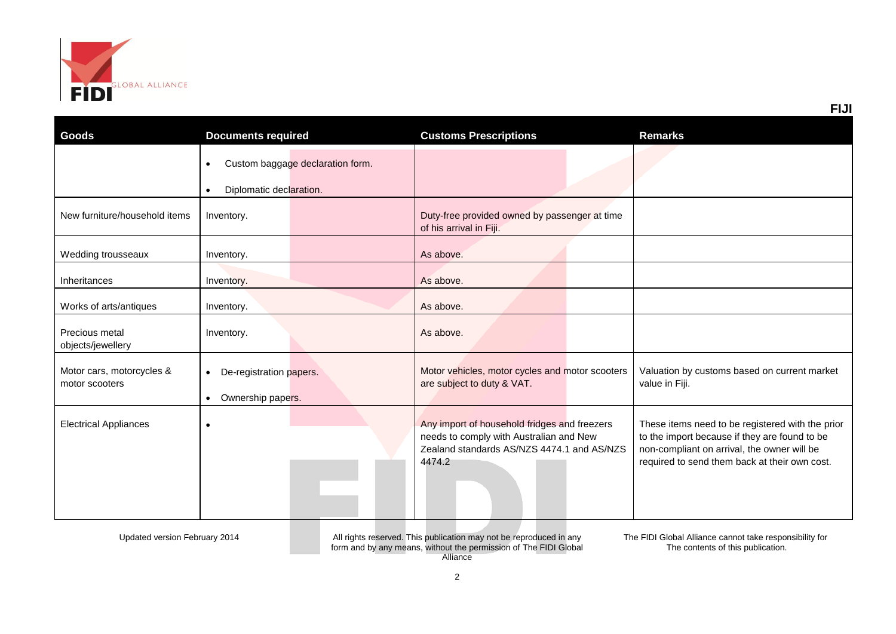

| Goods                                       | <b>Documents required</b>                                                             | <b>Customs Prescriptions</b>                                                                                                                    | <b>Remarks</b>                                                                                                                                                                                    |
|---------------------------------------------|---------------------------------------------------------------------------------------|-------------------------------------------------------------------------------------------------------------------------------------------------|---------------------------------------------------------------------------------------------------------------------------------------------------------------------------------------------------|
|                                             | Custom baggage declaration form.<br>$\bullet$<br>Diplomatic declaration.<br>$\bullet$ |                                                                                                                                                 |                                                                                                                                                                                                   |
| New furniture/household items               | Inventory.                                                                            | Duty-free provided owned by passenger at time<br>of his arrival in Fiji.                                                                        |                                                                                                                                                                                                   |
| Wedding trousseaux                          | Inventory.                                                                            | As above.                                                                                                                                       |                                                                                                                                                                                                   |
| Inheritances                                | Inventory.                                                                            | As above.                                                                                                                                       |                                                                                                                                                                                                   |
| Works of arts/antiques                      | Inventory.                                                                            | As above.                                                                                                                                       |                                                                                                                                                                                                   |
| Precious metal<br>objects/jewellery         | Inventory.                                                                            | As above.                                                                                                                                       |                                                                                                                                                                                                   |
| Motor cars, motorcycles &<br>motor scooters | De-registration papers.<br>$\bullet$<br>Ownership papers.<br>$\bullet$                | Motor vehicles, motor cycles and motor scooters<br>are subject to duty & VAT.                                                                   | Valuation by customs based on current market<br>value in Fiji.                                                                                                                                    |
| <b>Electrical Appliances</b>                | $\bullet$                                                                             | Any import of household fridges and freezers<br>needs to comply with Australian and New<br>Zealand standards AS/NZS 4474.1 and AS/NZS<br>4474.2 | These items need to be registered with the prior<br>to the import because if they are found to be<br>non-compliant on arrival, the owner will be<br>required to send them back at their own cost. |

Updated version February 2014 All rights reserved. This publication may not be reproduced in any form and by any means, without the permission of The FIDI Global Alliance

The FIDI Global Alliance cannot take responsibility for The contents of this publication.

**FIJI**